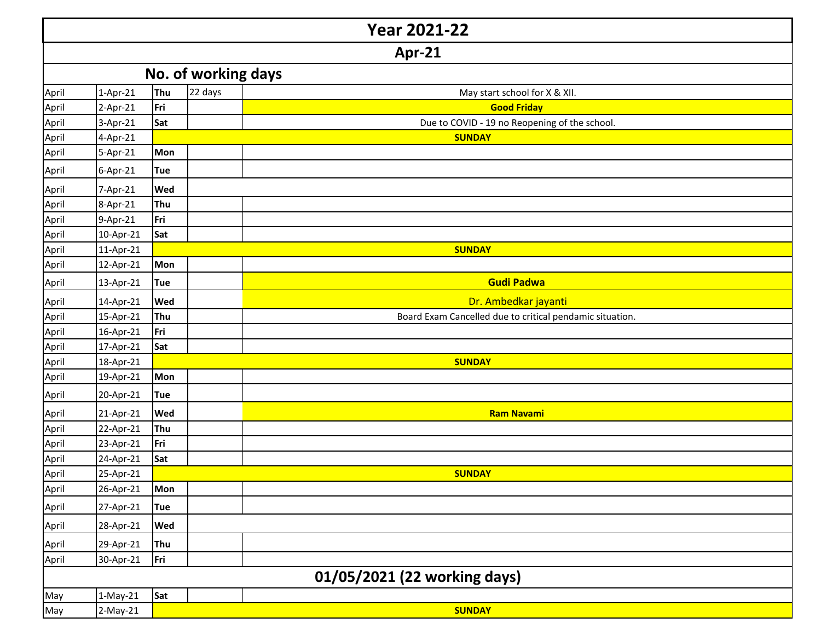|       | <b>Year 2021-22</b> |            |         |                                                          |  |  |  |  |
|-------|---------------------|------------|---------|----------------------------------------------------------|--|--|--|--|
|       | Apr-21              |            |         |                                                          |  |  |  |  |
|       | No. of working days |            |         |                                                          |  |  |  |  |
| April | 1-Apr-21            | Thu        | 22 days | May start school for X & XII.                            |  |  |  |  |
| April | 2-Apr-21            | Fri        |         | <b>Good Friday</b>                                       |  |  |  |  |
| April | 3-Apr-21            | Sat        |         | Due to COVID - 19 no Reopening of the school.            |  |  |  |  |
| April | 4-Apr-21            |            |         | <b>SUNDAY</b>                                            |  |  |  |  |
| April | 5-Apr-21            | <b>Mon</b> |         |                                                          |  |  |  |  |
| April | 6-Apr-21            | <b>Tue</b> |         |                                                          |  |  |  |  |
| April | 7-Apr-21            | Wed        |         |                                                          |  |  |  |  |
| April | 8-Apr-21            | Thu        |         |                                                          |  |  |  |  |
| April | 9-Apr-21            | Fri        |         |                                                          |  |  |  |  |
| April | 10-Apr-21           | Sat        |         |                                                          |  |  |  |  |
| April | 11-Apr-21           |            |         | <b>SUNDAY</b>                                            |  |  |  |  |
| April | 12-Apr-21           | Mon        |         |                                                          |  |  |  |  |
| April | 13-Apr-21           | <b>Tue</b> |         | <b>Gudi Padwa</b>                                        |  |  |  |  |
| April | 14-Apr-21           | Wed        |         | Dr. Ambedkar jayanti                                     |  |  |  |  |
| April | 15-Apr-21           | Thu        |         | Board Exam Cancelled due to critical pendamic situation. |  |  |  |  |
| April | 16-Apr-21           | Fri        |         |                                                          |  |  |  |  |
| April | 17-Apr-21           | Sat        |         |                                                          |  |  |  |  |
| April | 18-Apr-21           |            |         | <b>SUNDAY</b>                                            |  |  |  |  |
| April | 19-Apr-21           | Mon        |         |                                                          |  |  |  |  |
| April | 20-Apr-21           | <b>Tue</b> |         |                                                          |  |  |  |  |
| April | 21-Apr-21           | Wed        |         | <b>Ram Navami</b>                                        |  |  |  |  |
| April | 22-Apr-21           | Thu        |         |                                                          |  |  |  |  |
| April | 23-Apr-21           | Fri        |         |                                                          |  |  |  |  |
| April | 24-Apr-21           | Sat        |         |                                                          |  |  |  |  |
| April | 25-Apr-21           |            |         | <b>SUNDAY</b>                                            |  |  |  |  |
| April | 26-Apr-21           | Mon        |         |                                                          |  |  |  |  |
| April | 27-Apr-21           | <b>Tue</b> |         |                                                          |  |  |  |  |
| April | 28-Apr-21           | Wed        |         |                                                          |  |  |  |  |
| April | 29-Apr-21           | Thu        |         |                                                          |  |  |  |  |
| April | 30-Apr-21           | Fri        |         |                                                          |  |  |  |  |
|       |                     |            |         | 01/05/2021 (22 working days)                             |  |  |  |  |
| May   | $1-May-21$          | Sat        |         |                                                          |  |  |  |  |
| May   | $2-May-21$          |            |         | <b>SUNDAY</b>                                            |  |  |  |  |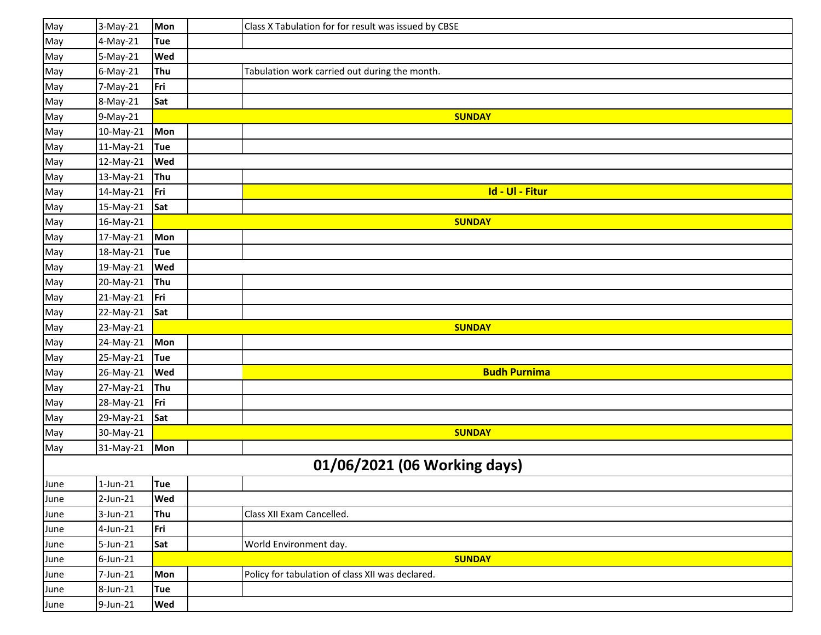| May  | 3-May-21    | Mon        | Class X Tabulation for for result was issued by CBSE |
|------|-------------|------------|------------------------------------------------------|
| May  | 4-May-21    | <b>Tue</b> |                                                      |
| May  | 5-May-21    | Wed        |                                                      |
| May  | $6$ -May-21 | Thu        | Tabulation work carried out during the month.        |
| May  | 7-May-21    | Fri        |                                                      |
| May  | 8-May-21    | Sat        |                                                      |
| May  | 9-May-21    |            | <b>SUNDAY</b>                                        |
| May  | 10-May-21   | Mon        |                                                      |
| May  | 11-May-21   | Tue        |                                                      |
| May  | 12-May-21   | Wed        |                                                      |
| May  | 13-May-21   | Thu        |                                                      |
| May  | 14-May-21   | Fri        | Id - Ul - Fitur                                      |
| May  | 15-May-21   | Sat        |                                                      |
| May  | 16-May-21   |            | <b>SUNDAY</b>                                        |
| May  | 17-May-21   | Mon        |                                                      |
| May  | 18-May-21   | <b>Tue</b> |                                                      |
| May  | 19-May-21   | Wed        |                                                      |
| May  | 20-May-21   | Thu        |                                                      |
| May  | 21-May-21   | Fri        |                                                      |
| May  | 22-May-21   | Sat        |                                                      |
| May  | 23-May-21   |            | <b>SUNDAY</b>                                        |
| May  | 24-May-21   | Mon        |                                                      |
| May  | 25-May-21   | Tue        |                                                      |
| May  | 26-May-21   | Wed        | <b>Budh Purnima</b>                                  |
| May  | 27-May-21   | Thu        |                                                      |
| May  | 28-May-21   | Fri        |                                                      |
| May  | 29-May-21   | Sat        |                                                      |
| May  | 30-May-21   |            | <b>SUNDAY</b>                                        |
| May  | 31-May-21   | Mon        |                                                      |
|      |             |            | 01/06/2021 (06 Working days)                         |
| June | $1$ -Jun-21 | Tue        |                                                      |
| June | 2-Jun-21    | Wed        |                                                      |
| June | 3-Jun-21    | Thu        | Class XII Exam Cancelled.                            |
| June | 4-Jun-21    | Fri        |                                                      |
| June | 5-Jun-21    | Sat        | World Environment day.                               |
| June | $6$ -Jun-21 |            | <b>SUNDAY</b>                                        |
| June | 7-Jun-21    | Mon        | Policy for tabulation of class XII was declared.     |
| June | 8-Jun-21    | <b>Tue</b> |                                                      |
| June | 9-Jun-21    | <b>Wed</b> |                                                      |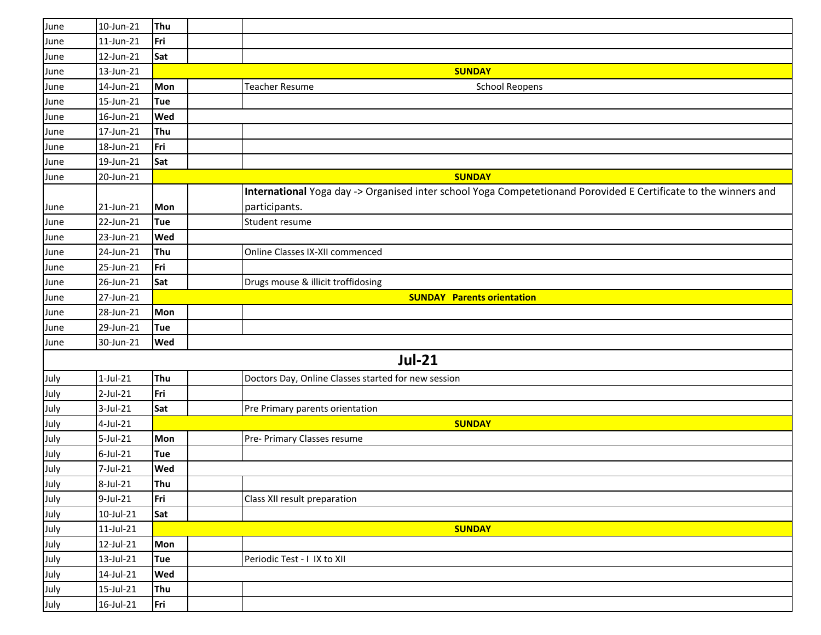| June | 10-Jun-21    | Thu        |                                                                                                                 |
|------|--------------|------------|-----------------------------------------------------------------------------------------------------------------|
| June | $11$ -Jun-21 | Fri        |                                                                                                                 |
| June | 12-Jun-21    | Sat        |                                                                                                                 |
| June | 13-Jun-21    |            | <b>SUNDAY</b>                                                                                                   |
| June | 14-Jun-21    | Mon        | <b>Teacher Resume</b><br><b>School Reopens</b>                                                                  |
| June | 15-Jun-21    | Tue        |                                                                                                                 |
| June | 16-Jun-21    | Wed        |                                                                                                                 |
| June | 17-Jun-21    | Thu        |                                                                                                                 |
| June | 18-Jun-21    | Fri        |                                                                                                                 |
| June | 19-Jun-21    | Sat        |                                                                                                                 |
| June | 20-Jun-21    |            | <b>SUNDAY</b>                                                                                                   |
|      |              |            | International Yoga day -> Organised inter school Yoga Competetionand Porovided E Certificate to the winners and |
| June | 21-Jun-21    | <b>Mon</b> | participants.                                                                                                   |
| June | 22-Jun-21    | Tue        | Student resume                                                                                                  |
| June | 23-Jun-21    | Wed        |                                                                                                                 |
| June | 24-Jun-21    | Thu        | Online Classes IX-XII commenced                                                                                 |
| June | 25-Jun-21    | Fri        |                                                                                                                 |
| June | 26-Jun-21    | Sat        | Drugs mouse & illicit troffidosing                                                                              |
| June | 27-Jun-21    |            | <b>SUNDAY Parents orientation</b>                                                                               |
| June | 28-Jun-21    | Mon        |                                                                                                                 |
| June | 29-Jun-21    | Tue        |                                                                                                                 |
| June | 30-Jun-21    | Wed        |                                                                                                                 |
|      |              |            | <b>Jul-21</b>                                                                                                   |
| July | $1$ -Jul-21  | Thu        | Doctors Day, Online Classes started for new session                                                             |
| July | 2-Jul-21     | Fri        |                                                                                                                 |
| July | 3-Jul-21     | Sat        | Pre Primary parents orientation                                                                                 |
| July | 4-Jul-21     |            | <b>SUNDAY</b>                                                                                                   |
| July | $5$ -Jul-21  | Mon        | Pre- Primary Classes resume                                                                                     |
| July | $6$ -Jul-21  | Tue        |                                                                                                                 |
| July | 7-Jul-21     | Wed        |                                                                                                                 |
| July | 8-Jul-21     | Thu        |                                                                                                                 |
| July | 9-Jul-21     | Fri        | Class XII result preparation                                                                                    |
| July | 10-Jul-21    | Sat        |                                                                                                                 |
| July | $11$ -Jul-21 |            | <b>SUNDAY</b>                                                                                                   |
| July | 12-Jul-21    | Mon        |                                                                                                                 |
| July | 13-Jul-21    | <b>Tue</b> | Periodic Test - I IX to XII                                                                                     |
| July | 14-Jul-21    | Wed        |                                                                                                                 |
| July | 15-Jul-21    | Thu        |                                                                                                                 |
| July | 16-Jul-21    | Fri        |                                                                                                                 |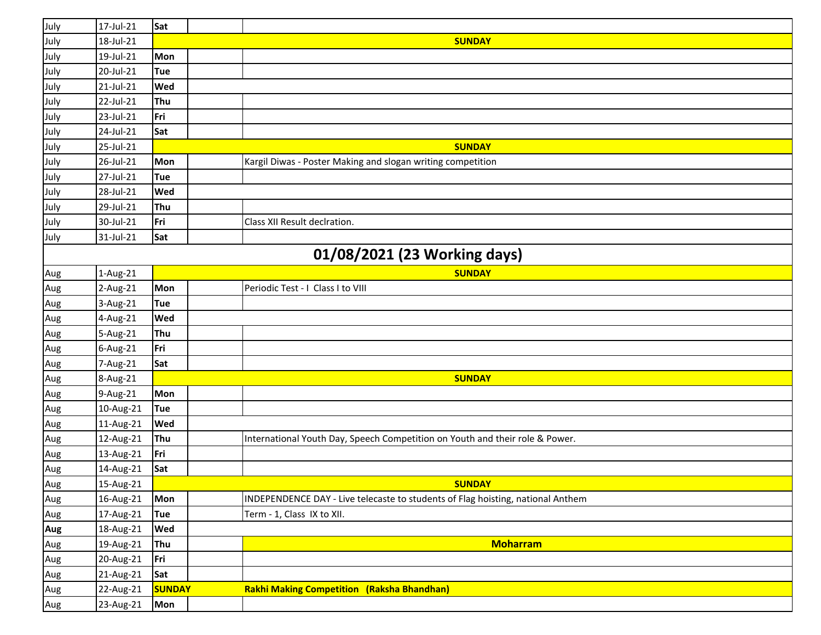| July | 17-Jul-21 | Sat           |                                                                                 |
|------|-----------|---------------|---------------------------------------------------------------------------------|
| July | 18-Jul-21 |               | <b>SUNDAY</b>                                                                   |
| July | 19-Jul-21 | Mon           |                                                                                 |
| July | 20-Jul-21 | <b>Tue</b>    |                                                                                 |
| July | 21-Jul-21 | Wed           |                                                                                 |
| July | 22-Jul-21 | Thu           |                                                                                 |
| July | 23-Jul-21 | Fri           |                                                                                 |
| July | 24-Jul-21 | Sat           |                                                                                 |
| July | 25-Jul-21 |               | <b>SUNDAY</b>                                                                   |
| July | 26-Jul-21 | Mon           | Kargil Diwas - Poster Making and slogan writing competition                     |
| July | 27-Jul-21 | Tue           |                                                                                 |
| July | 28-Jul-21 | Wed           |                                                                                 |
| July | 29-Jul-21 | Thu           |                                                                                 |
| July | 30-Jul-21 | Fri           | Class XII Result declration.                                                    |
| July | 31-Jul-21 | Sat           |                                                                                 |
|      |           |               | 01/08/2021 (23 Working days)                                                    |
| Aug  | 1-Aug-21  |               | <b>SUNDAY</b>                                                                   |
| Aug  | 2-Aug-21  | Mon           | Periodic Test - I Class I to VIII                                               |
| Aug  | 3-Aug-21  | <b>Tue</b>    |                                                                                 |
| Aug  | 4-Aug-21  | Wed           |                                                                                 |
| Aug  | 5-Aug-21  | Thu           |                                                                                 |
| Aug  | 6-Aug-21  | Fri           |                                                                                 |
| Aug  | 7-Aug-21  | Sat           |                                                                                 |
| Aug  | 8-Aug-21  |               | <b>SUNDAY</b>                                                                   |
| Aug  | 9-Aug-21  | Mon           |                                                                                 |
| Aug  | 10-Aug-21 | <b>Tue</b>    |                                                                                 |
| Aug  | 11-Aug-21 | Wed           |                                                                                 |
| Aug  | 12-Aug-21 | Thu           | International Youth Day, Speech Competition on Youth and their role & Power.    |
| Aug  | 13-Aug-21 | Fri           |                                                                                 |
| Aug  | 14-Aug-21 | Sat           |                                                                                 |
| Aug  | 15-Aug-21 |               | <b>SUNDAY</b>                                                                   |
| Aug  | 16-Aug-21 | Mon           | INDEPENDENCE DAY - Live telecaste to students of Flag hoisting, national Anthem |
| Aug  | 17-Aug-21 | Tue           | Term - 1, Class IX to XII.                                                      |
| Aug  | 18-Aug-21 | Wed           |                                                                                 |
| Aug  | 19-Aug-21 | Thu           | <b>Moharram</b>                                                                 |
| Aug  | 20-Aug-21 | Fri           |                                                                                 |
| Aug  | 21-Aug-21 | Sat           |                                                                                 |
| Aug  | 22-Aug-21 | <b>SUNDAY</b> | <b>Rakhi Making Competition (Raksha Bhandhan)</b>                               |
| Aug  | 23-Aug-21 | Mon           |                                                                                 |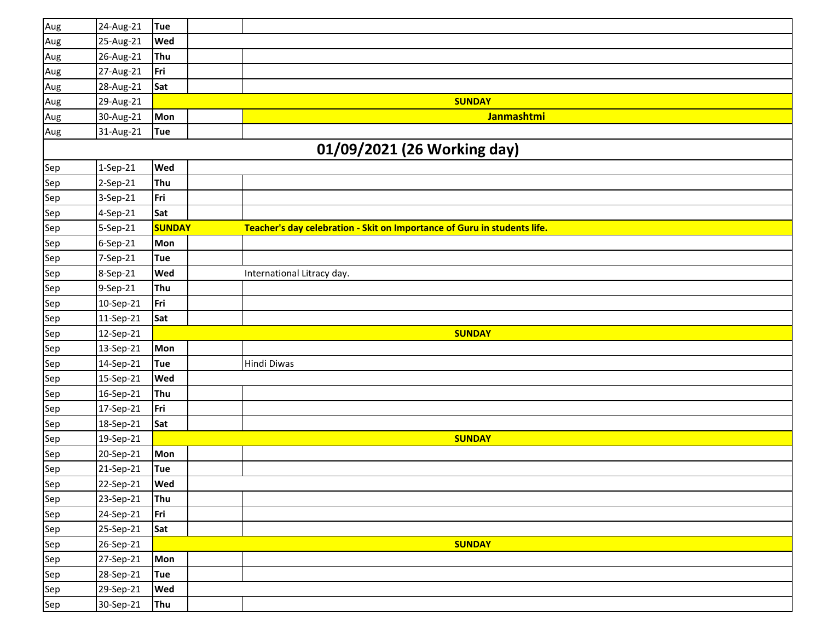| Aug                         | 24-Aug-21 | <b>Tue</b>    |  |                                                                          |  |  |  |  |  |
|-----------------------------|-----------|---------------|--|--------------------------------------------------------------------------|--|--|--|--|--|
| Aug                         | 25-Aug-21 | Wed           |  |                                                                          |  |  |  |  |  |
| Aug                         | 26-Aug-21 | Thu           |  |                                                                          |  |  |  |  |  |
| Aug                         | 27-Aug-21 | Fri           |  |                                                                          |  |  |  |  |  |
| Aug                         | 28-Aug-21 | Sat           |  |                                                                          |  |  |  |  |  |
| Aug                         | 29-Aug-21 |               |  | <b>SUNDAY</b>                                                            |  |  |  |  |  |
| Aug                         | 30-Aug-21 | Mon           |  | Janmashtmi                                                               |  |  |  |  |  |
| Aug                         | 31-Aug-21 | <b>Tue</b>    |  |                                                                          |  |  |  |  |  |
| 01/09/2021 (26 Working day) |           |               |  |                                                                          |  |  |  |  |  |
| Sep                         | 1-Sep-21  | Wed           |  |                                                                          |  |  |  |  |  |
| Sep                         | 2-Sep-21  | Thu           |  |                                                                          |  |  |  |  |  |
| Sep                         | 3-Sep-21  | Fri           |  |                                                                          |  |  |  |  |  |
| Sep                         | 4-Sep-21  | Sat           |  |                                                                          |  |  |  |  |  |
| Sep                         | 5-Sep-21  | <b>SUNDAY</b> |  | Teacher's day celebration - Skit on Importance of Guru in students life. |  |  |  |  |  |
| Sep                         | 6-Sep-21  | Mon           |  |                                                                          |  |  |  |  |  |
| Sep                         | 7-Sep-21  | Tue           |  |                                                                          |  |  |  |  |  |
| Sep                         | 8-Sep-21  | Wed           |  | International Litracy day.                                               |  |  |  |  |  |
| Sep                         | 9-Sep-21  | Thu           |  |                                                                          |  |  |  |  |  |
| Sep                         | 10-Sep-21 | Fri           |  |                                                                          |  |  |  |  |  |
| Sep                         | 11-Sep-21 | Sat           |  |                                                                          |  |  |  |  |  |
| Sep                         | 12-Sep-21 |               |  | <b>SUNDAY</b>                                                            |  |  |  |  |  |
| Sep                         | 13-Sep-21 | Mon           |  |                                                                          |  |  |  |  |  |
| Sep                         | 14-Sep-21 | <b>Tue</b>    |  | Hindi Diwas                                                              |  |  |  |  |  |
| Sep                         | 15-Sep-21 | Wed           |  |                                                                          |  |  |  |  |  |
| Sep                         | 16-Sep-21 | Thu           |  |                                                                          |  |  |  |  |  |
| Sep                         | 17-Sep-21 | Fri           |  |                                                                          |  |  |  |  |  |
| Sep                         | 18-Sep-21 | Sat           |  |                                                                          |  |  |  |  |  |
| Sep                         | 19-Sep-21 |               |  | <b>SUNDAY</b>                                                            |  |  |  |  |  |
| Sep                         | 20-Sep-21 | Mon           |  |                                                                          |  |  |  |  |  |
| Sep                         | 21-Sep-21 | <b>Tue</b>    |  |                                                                          |  |  |  |  |  |
| Sep                         | 22-Sep-21 | Wed           |  |                                                                          |  |  |  |  |  |
| Sep                         | 23-Sep-21 | Thu           |  |                                                                          |  |  |  |  |  |
| Sep                         | 24-Sep-21 | Fri           |  |                                                                          |  |  |  |  |  |
| Sep                         | 25-Sep-21 | Sat           |  |                                                                          |  |  |  |  |  |
| Sep                         | 26-Sep-21 |               |  | <b>SUNDAY</b>                                                            |  |  |  |  |  |
| Sep                         | 27-Sep-21 | Mon           |  |                                                                          |  |  |  |  |  |
| Sep                         | 28-Sep-21 | Tue           |  |                                                                          |  |  |  |  |  |
| Sep                         | 29-Sep-21 | Wed           |  |                                                                          |  |  |  |  |  |
| Sep                         | 30-Sep-21 | Thu           |  |                                                                          |  |  |  |  |  |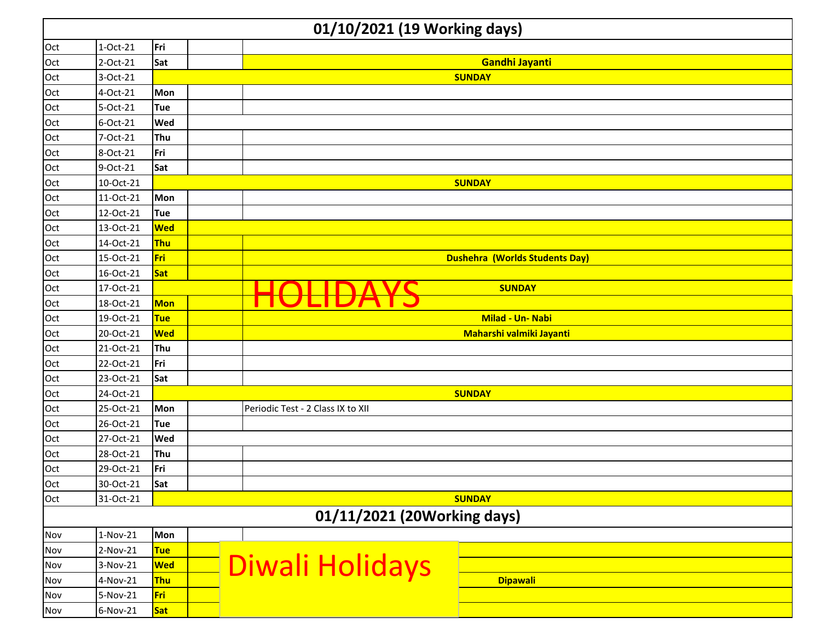|     | 01/10/2021 (19 Working days) |            |                                       |  |  |  |  |  |
|-----|------------------------------|------------|---------------------------------------|--|--|--|--|--|
| Oct | $1-Oct-21$                   | Fri        |                                       |  |  |  |  |  |
| Oct | 2-Oct-21                     | Sat        | <b>Gandhi Jayanti</b>                 |  |  |  |  |  |
| Oct | 3-Oct-21                     |            | <b>SUNDAY</b>                         |  |  |  |  |  |
| Oct | 4-Oct-21                     | Mon        |                                       |  |  |  |  |  |
| Oct | 5-Oct-21                     | <b>Tue</b> |                                       |  |  |  |  |  |
| Oct | 6-Oct-21                     | Wed        |                                       |  |  |  |  |  |
| Oct | 7-Oct-21                     | Thu        |                                       |  |  |  |  |  |
| Oct | 8-Oct-21                     | Fri        |                                       |  |  |  |  |  |
| Oct | 9-Oct-21                     | Sat        |                                       |  |  |  |  |  |
| Oct | 10-Oct-21                    |            | <b>SUNDAY</b>                         |  |  |  |  |  |
| Oct | 11-Oct-21                    | Mon        |                                       |  |  |  |  |  |
| Oct | 12-Oct-21                    | <b>Tue</b> |                                       |  |  |  |  |  |
| Oct | 13-Oct-21                    | <b>Wed</b> |                                       |  |  |  |  |  |
| Oct | 14-Oct-21                    | <b>Thu</b> |                                       |  |  |  |  |  |
| Oct | 15-Oct-21                    | Fri        | <b>Dushehra (Worlds Students Day)</b> |  |  |  |  |  |
| Oct | 16-Oct-21                    | Sat        |                                       |  |  |  |  |  |
| Oct | 17-Oct-21                    |            | <b>SUNDAY</b>                         |  |  |  |  |  |
| Oct | 18-Oct-21                    | <b>Mon</b> |                                       |  |  |  |  |  |
| Oct | 19-Oct-21                    | <b>Tue</b> | Milad - Un- Nabi                      |  |  |  |  |  |
| Oct | 20-Oct-21                    | <b>Wed</b> | Maharshi valmiki Jayanti              |  |  |  |  |  |
| Oct | 21-Oct-21                    | Thu        |                                       |  |  |  |  |  |
| Oct | 22-Oct-21                    | Fri        |                                       |  |  |  |  |  |
| Oct | 23-Oct-21                    | Sat        |                                       |  |  |  |  |  |
| Oct | 24-Oct-21                    |            | <b>SUNDAY</b>                         |  |  |  |  |  |
| Oct | 25-Oct-21                    | Mon        | Periodic Test - 2 Class IX to XII     |  |  |  |  |  |
| Oct | 26-Oct-21                    | Tue        |                                       |  |  |  |  |  |
| Oct | 27-Oct-21                    | Wed        |                                       |  |  |  |  |  |
| Oct | 28-Oct-21                    | Thu        |                                       |  |  |  |  |  |
| Oct | 29-Oct-21                    | Fri        |                                       |  |  |  |  |  |
| Oct | 30-Oct-21                    | <b>Sat</b> |                                       |  |  |  |  |  |
| Oct | 31-Oct-21                    |            | <b>SUNDAY</b>                         |  |  |  |  |  |
|     |                              |            | 01/11/2021 (20Working days)           |  |  |  |  |  |
| Nov | 1-Nov-21                     | Mon        |                                       |  |  |  |  |  |
| Nov | 2-Nov-21                     | <b>Tue</b> |                                       |  |  |  |  |  |
| Nov | 3-Nov-21                     | <b>Wed</b> | Diwali Holidays                       |  |  |  |  |  |
| Nov | 4-Nov-21                     | <b>Thu</b> | <b>Dipawali</b>                       |  |  |  |  |  |
| Nov | 5-Nov-21                     | Fri        |                                       |  |  |  |  |  |
| Nov | 6-Nov-21                     | <b>Sat</b> |                                       |  |  |  |  |  |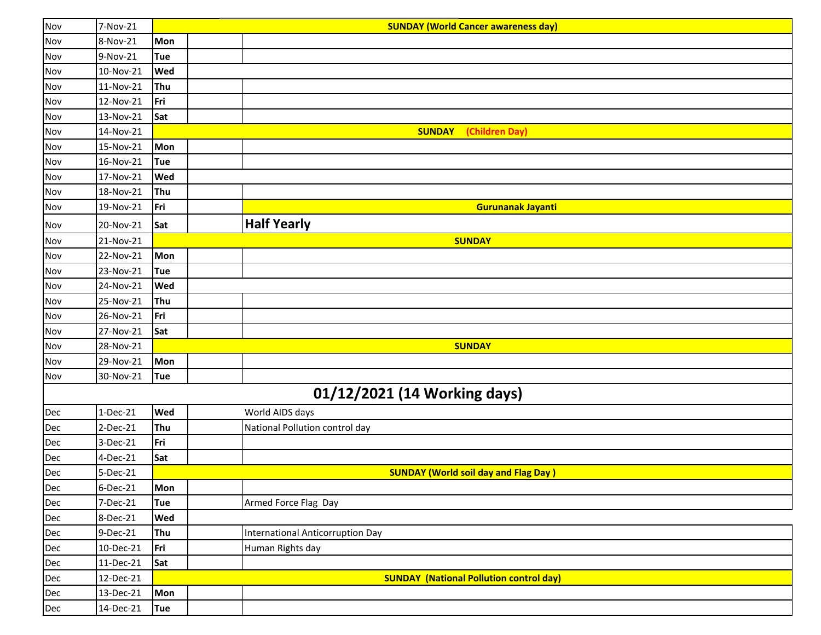| Nov | 7-Nov-21  |            | <b>SUNDAY (World Cancer awareness day)</b>     |
|-----|-----------|------------|------------------------------------------------|
| Nov | 8-Nov-21  | Mon        |                                                |
| Nov | 9-Nov-21  | Tue        |                                                |
| Nov | 10-Nov-21 | Wed        |                                                |
| Nov | 11-Nov-21 | Thu        |                                                |
| Nov | 12-Nov-21 | Fri        |                                                |
| Nov | 13-Nov-21 | Sat        |                                                |
| Nov | 14-Nov-21 |            | (Children Day)<br><b>SUNDAY</b>                |
| Nov | 15-Nov-21 | Mon        |                                                |
| Nov | 16-Nov-21 | Tue        |                                                |
| Nov | 17-Nov-21 | Wed        |                                                |
| Nov | 18-Nov-21 | Thu        |                                                |
| Nov | 19-Nov-21 | Fri        | Gurunanak Jayanti                              |
| Nov | 20-Nov-21 | Sat        | <b>Half Yearly</b>                             |
| Nov | 21-Nov-21 |            | <b>SUNDAY</b>                                  |
| Nov | 22-Nov-21 | Mon        |                                                |
| Nov | 23-Nov-21 | Tue        |                                                |
| Nov | 24-Nov-21 | Wed        |                                                |
| Nov | 25-Nov-21 | Thu        |                                                |
| Nov | 26-Nov-21 | Fri        |                                                |
| Nov | 27-Nov-21 | Sat        |                                                |
| Nov | 28-Nov-21 |            | <b>SUNDAY</b>                                  |
| Nov | 29-Nov-21 | Mon        |                                                |
| Nov | 30-Nov-21 | Tue        |                                                |
|     |           |            | 01/12/2021 (14 Working days)                   |
| Dec | 1-Dec-21  | Wed        | World AIDS days                                |
| Dec | 2-Dec-21  | Thu        | National Pollution control day                 |
| Dec | 3-Dec-21  | Fri        |                                                |
| Dec | 4-Dec-21  | Sat        |                                                |
| Dec | 5-Dec-21  |            | <b>SUNDAY (World soil day and Flag Day)</b>    |
| Dec | 6-Dec-21  | Mon        |                                                |
| Dec | 7-Dec-21  | Tue        | Armed Force Flag Day                           |
| Dec | 8-Dec-21  | Wed        |                                                |
| Dec | 9-Dec-21  | Thu        | <b>International Anticorruption Day</b>        |
| Dec | 10-Dec-21 | Fri        | Human Rights day                               |
| Dec | 11-Dec-21 | Sat        |                                                |
| Dec | 12-Dec-21 |            | <b>SUNDAY (National Pollution control day)</b> |
| Dec | 13-Dec-21 | Mon        |                                                |
| Dec | 14-Dec-21 | <b>Tue</b> |                                                |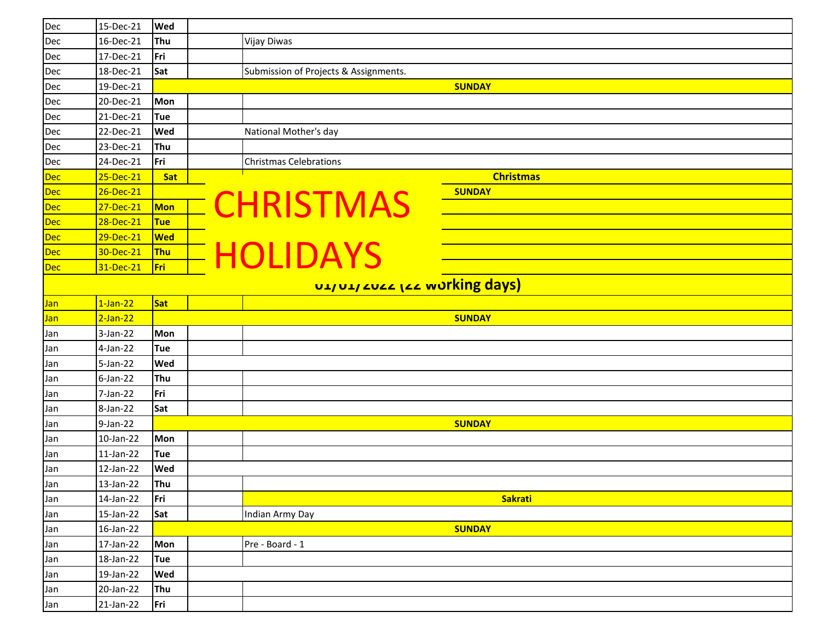| Dec        | 15-Dec-21   | Wed        |                                       |                               |
|------------|-------------|------------|---------------------------------------|-------------------------------|
| Dec        | 16-Dec-21   | Thu        | <b>Vijay Diwas</b>                    |                               |
| Dec        | 17-Dec-21   | Fri        |                                       |                               |
| Dec        | 18-Dec-21   | Sat        | Submission of Projects & Assignments. |                               |
| Dec        | 19-Dec-21   |            |                                       | <b>SUNDAY</b>                 |
| Dec        | 20-Dec-21   | Mon        |                                       |                               |
| Dec        | 21-Dec-21   | Tue        |                                       |                               |
| Dec        | 22-Dec-21   | Wed        | National Mother's day                 |                               |
| Dec        | 23-Dec-21   | Thu        |                                       |                               |
| Dec        | 24-Dec-21   | Fri        | <b>Christmas Celebrations</b>         |                               |
| Dec        | 25-Dec-21   | Sat        |                                       | <b>Christmas</b>              |
| Dec        | 26-Dec-21   |            |                                       | <b>SUNDAY</b>                 |
| Dec        | 27-Dec-21   | <b>Mon</b> | <b>CHRISTMAS</b>                      |                               |
| Dec        | 28-Dec-21   | <b>Tue</b> |                                       |                               |
| <b>Dec</b> | 29-Dec-21   | <b>Wed</b> |                                       |                               |
| Dec        | 30-Dec-21   | <b>Thu</b> | <b>- HOLIDAYS</b>                     |                               |
| <b>Dec</b> | 31-Dec-21   | Fri        |                                       |                               |
|            |             |            |                                       | UL/UL/ LULL LLL wurking days) |
| Jan        | $1$ -Jan-22 | <b>Sat</b> |                                       |                               |
| Jan        | $2$ -Jan-22 |            |                                       | <b>SUNDAY</b>                 |
| Jan        | 3-Jan-22    | Mon        |                                       |                               |
| Jan        | 4-Jan-22    | Tue        |                                       |                               |
| Jan        | 5-Jan-22    | Wed        |                                       |                               |
| Jan        | $6$ -Jan-22 | Thu        |                                       |                               |
| Jan        | 7-Jan-22    | Fri        |                                       |                               |
| Jan        | 8-Jan-22    | Sat        |                                       |                               |
| Jan        | 9-Jan-22    |            |                                       | <b>SUNDAY</b>                 |
| Jan        | 10-Jan-22   | Mon        |                                       |                               |
| Jan        | 11-Jan-22   | <b>Tue</b> |                                       |                               |
| Jan        | 12-Jan-22   | Wed        |                                       |                               |
| Jan        | 13-Jan-22   | Thu        |                                       |                               |
| Jan        | 14-Jan-22   | Fri        |                                       | <b>Sakrati</b>                |
| Jan        | 15-Jan-22   | Sat        | Indian Army Day                       |                               |
| Jan        | 16-Jan-22   |            |                                       | <b>SUNDAY</b>                 |
| Jan        | 17-Jan-22   | Mon        | Pre - Board - 1                       |                               |
| Jan        | 18-Jan-22   | <b>Tue</b> |                                       |                               |
| Jan        | 19-Jan-22   | Wed        |                                       |                               |
| Jan        | 20-Jan-22   | Thu        |                                       |                               |
| Jan        | 21-Jan-22   | Fri        |                                       |                               |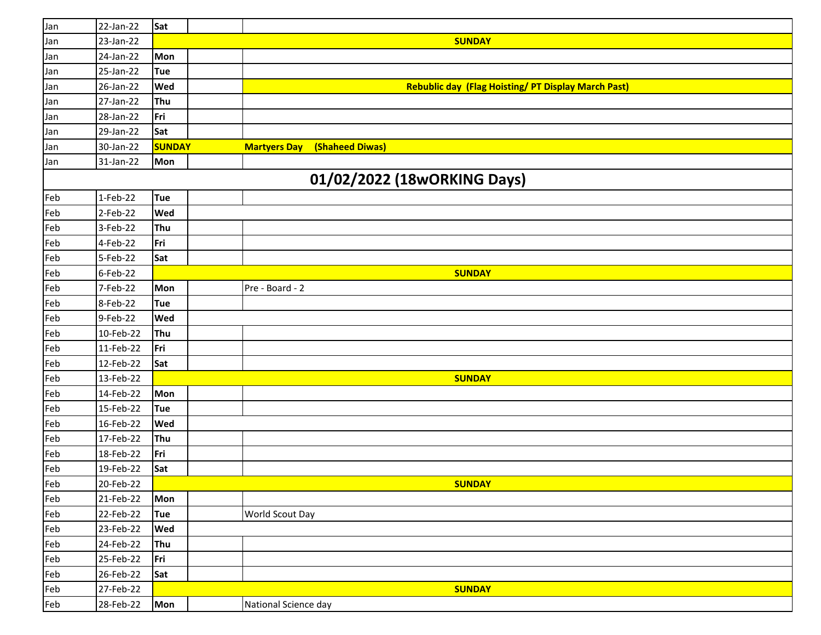| Jan | 22-Jan-22                   | Sat           |  |                                                           |  |  |  |  |  |  |
|-----|-----------------------------|---------------|--|-----------------------------------------------------------|--|--|--|--|--|--|
| Jan | 23-Jan-22                   |               |  | <b>SUNDAY</b>                                             |  |  |  |  |  |  |
| Jan | 24-Jan-22                   | Mon           |  |                                                           |  |  |  |  |  |  |
| Jan | 25-Jan-22                   | <b>Tue</b>    |  |                                                           |  |  |  |  |  |  |
| Jan | 26-Jan-22                   | Wed           |  | <b>Rebublic day (Flag Hoisting/PT Display March Past)</b> |  |  |  |  |  |  |
| Jan | 27-Jan-22                   | Thu           |  |                                                           |  |  |  |  |  |  |
| Jan | 28-Jan-22                   | Fri           |  |                                                           |  |  |  |  |  |  |
| Jan | 29-Jan-22                   | Sat           |  |                                                           |  |  |  |  |  |  |
| Jan | 30-Jan-22                   | <b>SUNDAY</b> |  | (Shaheed Diwas)<br><b>Martyers Day</b>                    |  |  |  |  |  |  |
| Jan | 31-Jan-22                   | <b>Mon</b>    |  |                                                           |  |  |  |  |  |  |
|     | 01/02/2022 (18wORKING Days) |               |  |                                                           |  |  |  |  |  |  |
| Feb | 1-Feb-22                    | <b>Tue</b>    |  |                                                           |  |  |  |  |  |  |
| Feb | 2-Feb-22                    | Wed           |  |                                                           |  |  |  |  |  |  |
| Feb | 3-Feb-22                    | Thu           |  |                                                           |  |  |  |  |  |  |
| Feb | 4-Feb-22                    | Fri           |  |                                                           |  |  |  |  |  |  |
| Feb | 5-Feb-22                    | Sat           |  |                                                           |  |  |  |  |  |  |
| Feb | 6-Feb-22                    |               |  | <b>SUNDAY</b>                                             |  |  |  |  |  |  |
| Feb | 7-Feb-22                    | Mon           |  | Pre - Board - 2                                           |  |  |  |  |  |  |
| Feb | 8-Feb-22                    | <b>Tue</b>    |  |                                                           |  |  |  |  |  |  |
| Feb | 9-Feb-22                    | Wed           |  |                                                           |  |  |  |  |  |  |
| Feb | 10-Feb-22                   | Thu           |  |                                                           |  |  |  |  |  |  |
| Feb | 11-Feb-22                   | Fri           |  |                                                           |  |  |  |  |  |  |
| Feb | 12-Feb-22                   | Sat           |  |                                                           |  |  |  |  |  |  |
| Feb | 13-Feb-22                   |               |  | <b>SUNDAY</b>                                             |  |  |  |  |  |  |
| Feb | 14-Feb-22                   | Mon           |  |                                                           |  |  |  |  |  |  |
| Feb | 15-Feb-22                   | <b>Tue</b>    |  |                                                           |  |  |  |  |  |  |
| Feb | 16-Feb-22                   | Wed           |  |                                                           |  |  |  |  |  |  |
| Feb | 17-Feb-22                   | Thu           |  |                                                           |  |  |  |  |  |  |
| Feb | 18-Feb-22                   | Fri           |  |                                                           |  |  |  |  |  |  |
| Feb | 19-Feb-22                   | Sat           |  |                                                           |  |  |  |  |  |  |
| Feb | 20-Feb-22                   |               |  | <b>SUNDAY</b>                                             |  |  |  |  |  |  |
| Feb | 21-Feb-22                   | Mon           |  |                                                           |  |  |  |  |  |  |
| Feb | 22-Feb-22                   | <b>Tue</b>    |  | World Scout Day                                           |  |  |  |  |  |  |
| Feb | 23-Feb-22                   | Wed           |  |                                                           |  |  |  |  |  |  |
| Feb | 24-Feb-22                   | Thu           |  |                                                           |  |  |  |  |  |  |
| Feb | 25-Feb-22                   | Fri           |  |                                                           |  |  |  |  |  |  |
| Feb | 26-Feb-22                   | Sat           |  |                                                           |  |  |  |  |  |  |
| Feb | 27-Feb-22                   |               |  | <b>SUNDAY</b>                                             |  |  |  |  |  |  |
| Feb | 28-Feb-22                   | Mon           |  | National Science day                                      |  |  |  |  |  |  |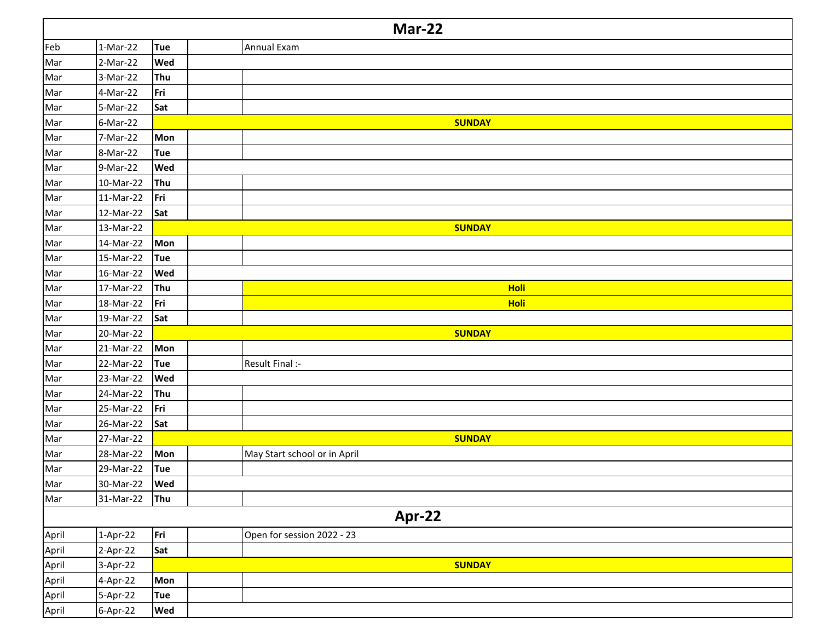|       | <b>Mar-22</b> |            |                              |  |  |  |  |
|-------|---------------|------------|------------------------------|--|--|--|--|
| Feb   | $1-Mar-22$    | Tue        | Annual Exam                  |  |  |  |  |
| Mar   | 2-Mar-22      | Wed        |                              |  |  |  |  |
| Mar   | 3-Mar-22      | Thu        |                              |  |  |  |  |
| Mar   | 4-Mar-22      | Fri        |                              |  |  |  |  |
| Mar   | 5-Mar-22      | Sat        |                              |  |  |  |  |
| Mar   | 6-Mar-22      |            | <b>SUNDAY</b>                |  |  |  |  |
| Mar   | 7-Mar-22      | Mon        |                              |  |  |  |  |
| Mar   | 8-Mar-22      | <b>Tue</b> |                              |  |  |  |  |
| Mar   | 9-Mar-22      | Wed        |                              |  |  |  |  |
| Mar   | 10-Mar-22     | Thu        |                              |  |  |  |  |
| Mar   | 11-Mar-22     | Fri        |                              |  |  |  |  |
| Mar   | 12-Mar-22     | Sat        |                              |  |  |  |  |
| Mar   | 13-Mar-22     |            | <b>SUNDAY</b>                |  |  |  |  |
| Mar   | 14-Mar-22     | Mon        |                              |  |  |  |  |
| Mar   | 15-Mar-22     | <b>Tue</b> |                              |  |  |  |  |
| Mar   | 16-Mar-22     | Wed        |                              |  |  |  |  |
| Mar   | 17-Mar-22     | Thu        | <b>Holi</b>                  |  |  |  |  |
| Mar   | 18-Mar-22     | Fri        | <b>Holi</b>                  |  |  |  |  |
| Mar   | 19-Mar-22     | Sat        |                              |  |  |  |  |
| Mar   | 20-Mar-22     |            | <b>SUNDAY</b>                |  |  |  |  |
| Mar   | 21-Mar-22     | Mon        |                              |  |  |  |  |
| Mar   | 22-Mar-22     | <b>Tue</b> | Result Final :-              |  |  |  |  |
| Mar   | 23-Mar-22     | Wed        |                              |  |  |  |  |
| Mar   | 24-Mar-22     | Thu        |                              |  |  |  |  |
| Mar   | 25-Mar-22     | Fri        |                              |  |  |  |  |
| Mar   | 26-Mar-22     | Sat        |                              |  |  |  |  |
| Mar   | 27-Mar-22     |            | <b>SUNDAY</b>                |  |  |  |  |
| Mar   | 28-Mar-22     | Mon        | May Start school or in April |  |  |  |  |
| Mar   | 29-Mar-22     | <b>Tue</b> |                              |  |  |  |  |
| Mar   | 30-Mar-22     | Wed        |                              |  |  |  |  |
| Mar   | 31-Mar-22     | Thu        |                              |  |  |  |  |
|       |               |            | Apr-22                       |  |  |  |  |
| April | 1-Apr-22      | Fri        | Open for session 2022 - 23   |  |  |  |  |
| April | 2-Apr-22      | Sat        |                              |  |  |  |  |
| April | 3-Apr-22      |            | <b>SUNDAY</b>                |  |  |  |  |
| April | 4-Apr-22      | Mon        |                              |  |  |  |  |
| April | 5-Apr-22      | <b>Tue</b> |                              |  |  |  |  |
| April | 6-Apr-22      | <b>Wed</b> |                              |  |  |  |  |